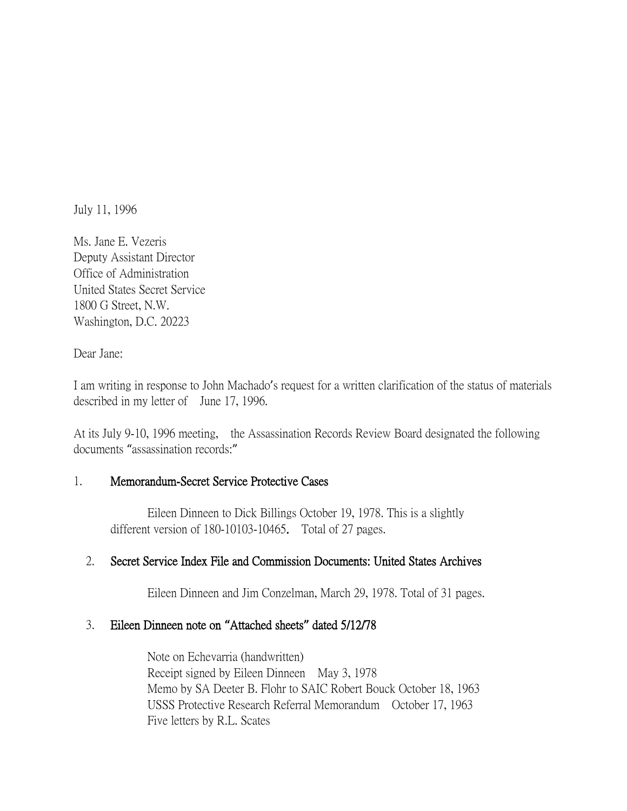July 11, 1996

Ms. Jane E. Vezeris Deputy Assistant Director Office of Administration United States Secret Service 1800 G Street, N.W. Washington, D.C. 20223

Dear Jane:

I am writing in response to John Machado's request for a written clarification of the status of materials described in my letter of June 17, 1996.

At its July 9-10, 1996 meeting, the Assassination Records Review Board designated the following documents "assassination records:"

#### 1. Memorandum-Secret Service Protective Cases

Eileen Dinneen to Dick Billings October 19, 1978. This is a slightly different version of 180-10103-10465. Total of 27 pages.

#### 2. Secret Service Index File and Commission Documents: United States Archives

Eileen Dinneen and Jim Conzelman, March 29, 1978. Total of 31 pages.

#### 3. Eileen Dinneen note on **"**Attached sheets**"** dated 5/12/78

Note on Echevarria (handwritten) Receipt signed by Eileen Dinneen May 3, 1978 Memo by SA Deeter B. Flohr to SAIC Robert Bouck October 18, 1963 USSS Protective Research Referral Memorandum October 17, 1963 Five letters by R.L. Scates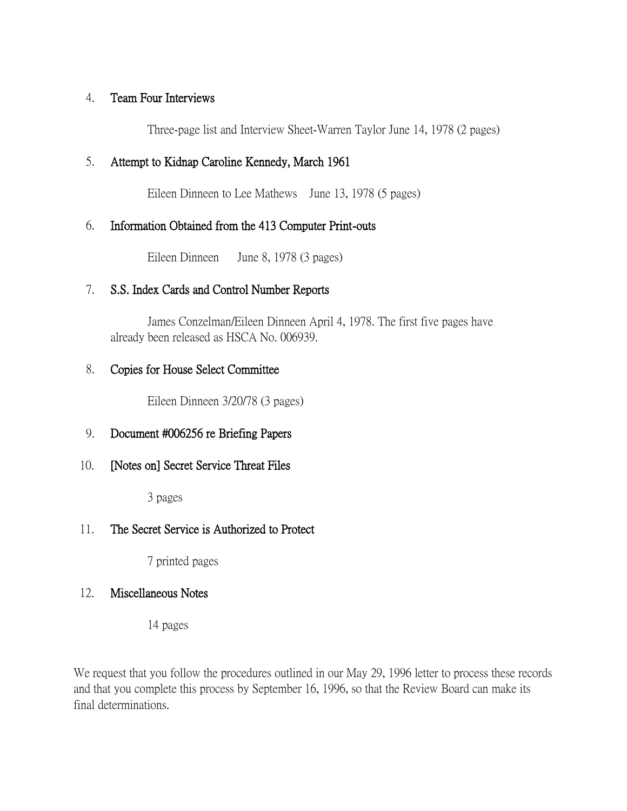#### 4. Team Four Interviews

Three-page list and Interview Sheet-Warren Taylor June 14, 1978 (2 pages)

## 5. Attempt to Kidnap Caroline Kennedy, March 1961

Eileen Dinneen to Lee Mathews June 13, 1978 (5 pages)

## 6. Information Obtained from the 413 Computer Print-outs

Eileen Dinneen June 8, 1978 (3 pages)

## 7. S.S. Index Cards and Control Number Reports

James Conzelman/Eileen Dinneen April 4, 1978. The first five pages have already been released as HSCA No. 006939.

#### 8. Copies for House Select Committee

Eileen Dinneen 3/20/78 (3 pages)

## 9. Document #006256 re Briefing Papers

## 10. [Notes on] Secret Service Threat Files

3 pages

# 11. The Secret Service is Authorized to Protect

7 printed pages

## 12. Miscellaneous Notes

14 pages

We request that you follow the procedures outlined in our May 29, 1996 letter to process these records and that you complete this process by September 16, 1996, so that the Review Board can make its final determinations.